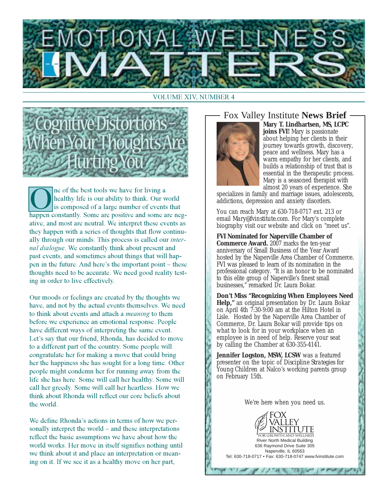

#### **VOLUME XIV, NUMBER 4**



ne of the best tools we have for living a healthy life is our ability to think. Our world is composed of a large number of events that happen constantly. Some are positive and some are negative, and most are neutral. We interpret these events as they happen with a series of thoughts that flow continually through our minds. This process is called our *inter*nal dialogue. We constantly think about present and past events, and sometimes about things that will happen in the future. And here's the important point – these thoughts need to be accurate. We need good reality testing in order to live effectively.

Our moods or feelings are created by the thoughts we have, and not by the actual events themselves. We need to think about events and attach a *meaning* to them before we experience an emotional response. People have different ways of interpreting the same event. Let's say that our friend, Rhonda, has decided to move to a different part of the country. Some people will congratulate her for making a move that could bring her the happiness she has sought for a long time. Other people might condemn her for running away from the life she has here. Some will call her healthy. Some will call her greedy. Some will call her heartless. How we think about Rhonda will reflect our core beliefs about the world.

We define Rhonda's actions in terms of how we personally interpret the world – and these interpretations reflect the basic assumptions we have about how the world works. Her move in itself signifies nothing until we think about it and place an interpretation or meaning on it. If we see it as a healthy move on her part,

### Fox Valley Institute News Brief -



Mary T. Lindhartsen, MS, LCPC joins FVI! Mary is passionate about helping her clients in their journey towards growth, discovery, peace and wellness. Mary has a warm empathy for her clients, and builds a relationship of trust that is essential in the therapeutic process. Mary is a seasoned therapist with almost 20 years of experience. She

specializes in family and marriage issues, adolescents, addictions, depression and anxiety disorders.

You can reach Mary at 630-718-0717 ext. 213 or email Mary@fvinstitute.com. For Mary's complete biography visit our website and click on "meet us".

**FVI Nominated for Naperville Chamber of Commerce Award.** 2007 marks the ten-year anniversary of Small Business of the Year Award hosted by the Naperville Area Chamber of Commerce. FVI was pleased to learn of its nomination in the professional category. "It is an honor to be nominated to this elite group of Naperville's finest small businesses," remarked Dr. Laura Bokar.

Don't Miss "Recognizing When Employees Need Help," an original presentation by Dr. Laura Bokar on April 4th 7:30-9:00 am at the Hilton Hotel in Lisle. Hosted by the Naperville Area Chamber of Commerce, Dr. Laura Bokar will provide tips on what to look for in your workplace when an employee is in need of help. Reserve your seat by calling the Chamber at  $630-355-4141$ .

Jennifer Logston, MSW, LCSW was a featured presenter on the topic of *Discipline Strategies for* Young Children at Nalco's working parents group on February 15th.

We're here when you need us.

**River North Medical Building** 

636 Raymond Drive Suite 305 Naperville, IL 60563

Tel: 630-718-0717 · Fax: 630-718-0747 www.fvinstitute.com

THE PILLER TRAVE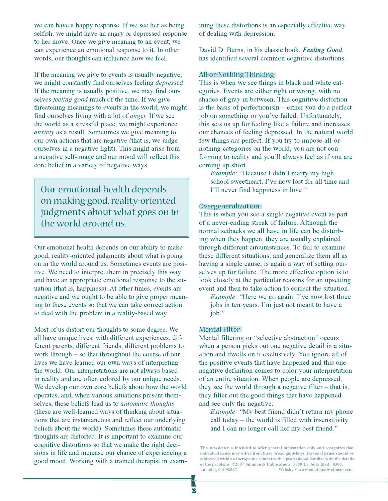we can have a happy response. If we see her as being selfish, we might have an angry or depressed response to her move. Once we give meaning to an event, we can experience an emotional response to it. In other words, our thoughts can influence how we feel.

If the meaning we give to events is usually negative, we might constantly find ourselves feeling *depressed*. If the meaning is usually positive, we may find ourselves *feeling good* much of the time. If we give threatening meanings to events in the world, we might find ourselves living with a lot of *anger*. If we see the world as a stressful place, we might experience *anxiety* as a result. Sometimes we give meaning to our own actions that are negative (that is, we judge ourselves in a negative light). This might arise from a negative self-image and our mood will reflect this core belief in a variety of negative ways.

Our emotional health depends on making good, reality-oriented judgments about what goes on in the world around us.

Our emotional health depends on our ability to make good, reality-oriented judgments about what is going on in the world around us. Sometimes events are positive. We need to interpret them in precisely this way and have an appropriate emotional response to the situation (that is, happiness). At other times, events are negative and we ought to be able to give proper meaning to these events so that we can take correct action to deal with the problem in a reality-based way.

Most of us distort our thoughts to some degree. We all have unique lives, with different experiences, different parents, different friends, different problems to work through – so that throughout the course of our lives we have learned our own ways of interpreting the world. Our interpretations are not always based in reality and are often colored by our unique needs. We develop our own core beliefs about how the world operates, and, when various situations present themselves, these beliefs lead us to *automatic thoughts* (these are well-learned ways of thinking about situations that are instantaneous and reflect our underlying beliefs about the world). Sometimes these automatic thoughts are distorted. It is important to examine our cognitive distortions so that we make the right decisions in life and increase our chance of experiencing a good mood. Working with a trained therapist in examining these distortions is an especially effective way of dealing with depression.

David D. Burns, in his classic book, Feeling Good, has identified several common cognitive distortions.

#### All-or-Nothing Thinking

This is when we see things in black and white categories. Events are either right or wrong, with no shades of gray in between. This cognitive distortion is the basis of perfectionism – either you do a perfect job on something or you've failed. Unfortunately, this sets us up for feeling like a failure and increases our chances of feeling depressed. In the natural world few things are perfect. If you try to impose all-ornothing categories on the world, you are not conforming to reality and you'll always feel as if you are coming up short.

*Example:* "Because I didn't marry my high school sweetheart, I've now lost for all time and I'll never find happiness in love."

#### Overgeneralization

This is when you see a single negative event as part of a never-ending streak of failure. Although the normal setbacks we all have in life can be disturbing when they happen, they are usually explained through different circumstances. To fail to examine these different situations, and generalize them all as having a single cause, is again a way of setting ourselves up for failure. The more effective option is to look closely at the particular reasons for an upsetting event and then to take action to correct the situation.

*Example:* "Here we go again. I've now lost three jobs in ten years. I'm just not meant to have a  $job."$ 

#### Mental Filter

Mental filtering or "selective abstraction" occurs when a person picks out one negative detail in a situation and dwells on it exclusively. You ignore all of the positive events that have happened and this one negative definition comes to color your interpretation of an entire situation. When people are depressed, they see the world through a negative filter – that is, they filter out the good things that have happened and see only the negative.

*Example:* "My best friend didn't return my phone call today – the world is filled with insensitivity and I can no longer call her my best friend."

This newsletter is intended to offer general information only and recognizes that individual issues may differ from these broad guidelines. Personal issues should be addressed within a therapeutic context with a professional familiar with the details of the problems. ©2007 Simmonds Publications: 5580 La Jolla Blvd., #306, La Jolla, CA 92037 Website  $\sim$  www.emotionalwellness.com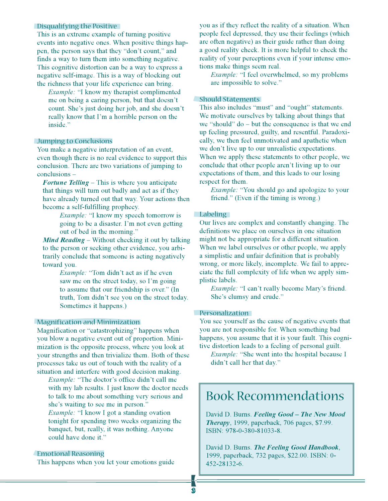#### Disqualifying the Positive

This is an extreme example of turning positive events into negative ones. When positive things happen, the person says that they "don't count," and finds a way to turn them into something negative. This cognitive distortion can be a way to express a negative self-image. This is a way of blocking out the richness that your life experience can bring.

*Example:* "I know my therapist complimented me on being a caring person, but that doesn't count. She's just doing her job, and she doesn't really know that I'm a horrible person on the inside."

#### Jumping to Conclusions

You make a negative interpretation of an event, even though there is no real evidence to support this conclusion. There are two variations of jumping to  $conclusions –$ 

**Fortune Telling** – This is where you anticipate that things will turn out badly and act as if they have already turned out that way. Your actions then become a self-fulfilling prophecy.

> *Example:* "I know my speech tomorrow is going to be a disaster. I'm not even getting out of bed in the morning."

Mind Reading - Without checking it out by talking to the person or seeking other evidence, you arbitrarily conclude that someone is acting negatively toward you.

> *Example:* "Tom didn't act as if he even saw me on the street today, so I'm going to assume that our friendship is over." (In truth, Tom didn't see you on the street today. Sometimes it happens.)

#### **Magnification and Minimization**

Magnification or "catastrophizing" happens when you blow a negative event out of proportion. Minimization is the opposite process, where you look at your strengths and then trivialize them. Both of these processes take us out of touch with the reality of a situation and interfere with good decision making.

*Example:* "The doctor's office didn't call me with my lab results. I just know the doctor needs to talk to me about something very serious and she's waiting to see me in person." *Example:* "I know I got a standing ovation

tonight for spending two weeks organizing the banquet, but, really, it was nothing. Anyone could have done it."

#### **Emotional Reasoning**

This happens when you let your emotions guide

you as if they reflect the reality of a situation. When people feel depressed, they use their feelings (which are often negative) as their guide rather than doing a good reality check. It is more helpful to check the reality of your perceptions even if your intense emotions make things seem real.

*Example:* "I feel overwhelmed, so my problems are impossible to solve."

#### Should Statements

This also includes "must" and "ought" statements. We motivate ourselves by talking about things that we "should"  $do$  – but the consequence is that we end up feeling pressured, guilty, and resentful. Paradoxically, we then feel unmotivated and apathetic when we don't live up to our unrealistic expectations. When we apply these statements to other people, we conclude that other people aren't living up to our expectations of them, and this leads to our losing respect for them.

*Example:* "You should go and apologize to your friend." (Even if the timing is wrong.)

#### Labeling

Our lives are complex and constantly changing. The definitions we place on ourselves in one situation might not be appropriate for a different situation. When we label ourselves or other people, we apply a simplistic and unfair definition that is probably wrong, or more likely, incomplete. We fail to appreciate the full complexity of life when we apply simplistic labels.

*Example:* "I can't really become Mary's friend. She's clumsy and crude."

#### Personalization

You see yourself as the cause of negative events that you are not responsible for. When something bad happens, you assume that it is your fault. This cognitive distortion leads to a feeling of personal guilt.

*Example:* "She went into the hospital because I didn't call her that day."

## **Book Recommendations**

David D. Burns. Feeling Good - The New Mood Therapy, 1999, paperback, 706 pages, \$7.99. ISBN: 978-0-380-81033-8.

David D. Burns. The Feeling Good Handbook, 1999, paperback, 732 pages, \$22.00. ISBN: 0-452-28132-6.